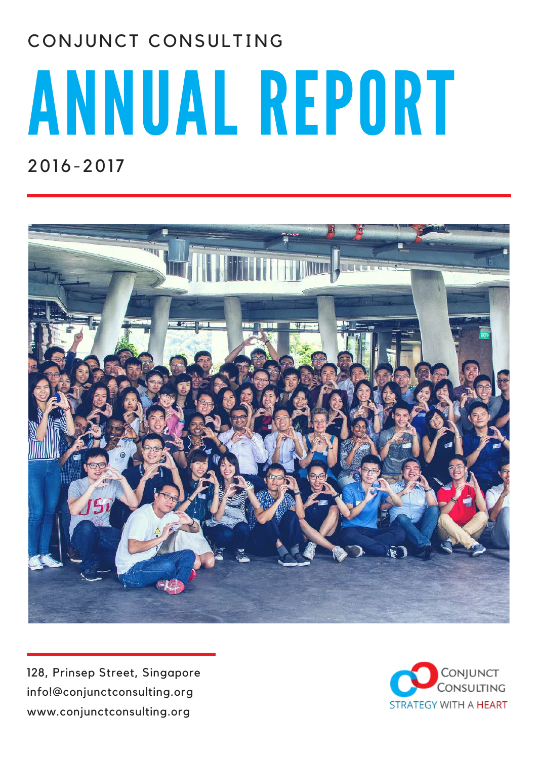# ANNUAL REPORT CONJUNCT CONSULTING

2016-2017



128, Prinsep Street, Singapore info!@conjunctconsulting.org www.conjunctconsulting.org

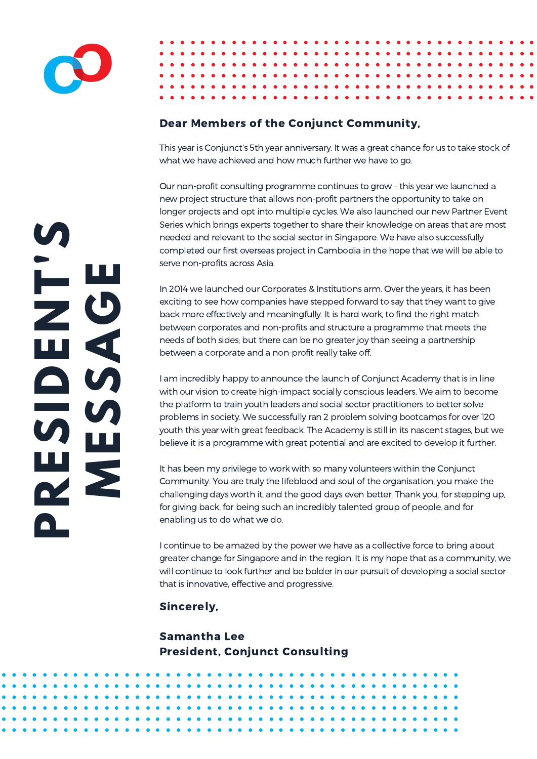

## Dear Members of the Conjunct Community,

This year is Conjunct's 5th year anniversary. It was a great chance for us to take stock of what we have achieved and how much further we have to go.

Our non-profit consulting programme continues to grow – this year we launched a new project structure that allows non-profit partners the opportunity to take on longer projects and opt into multiple cycles. We also launched our new Partner Event Series which brings experts together to share their knowledge on areas that are most needed and relevant to the social sector in Singapore. We have also successfully completed our first overseas project in Cambodia in the hope that we will be able to serve non-profits across Asia.

 between corporates and non-profits and structure a programme that meets the In 2014 we launched our Corporates & Institutions arm. Over the years, it has been exciting to see how companies have stepped forward to say that they want to give back more effectively and meaningfully. It is hard work, to find the right match needs of both sides; but there can be no greater joy than seeing a partnership between a corporate and a non-profit really take off.

 youth this year with great feedback. The Academy is still in its nascent stages, but we with our vision to create high-impact socially conscious leaders. We aim to become I am incredibly happy to announce the launch of Conjunct Academy that is in line the platform to train youth leaders and social sector practitioners to better solve problems in society. We successfully ran 2 problem solving bootcamps for over 120 believe it is a programme with great potential and are excited to develop it further.

It has been my privilege to work with so many volunteers within the Conjunct Community. You are truly the lifeblood and soul of the organisation, you make the challenging days worth it, and the good days even better. Thank you, for stepping up, for giving back, for being such an incredibly talented group of people, and for enabling us to do what we do.

I continue to be amazed by the power we have as a collective force to bring about greater change for Singapore and in the region. It is my hope that as a community, we will continue to look further and be bolder in our pursuit of developing a social sector that is innovative, effective and progressive.

Sincerely,

Samantha Lee President, Conjunct Consulting

**PRES I DENT'S MES S A GE**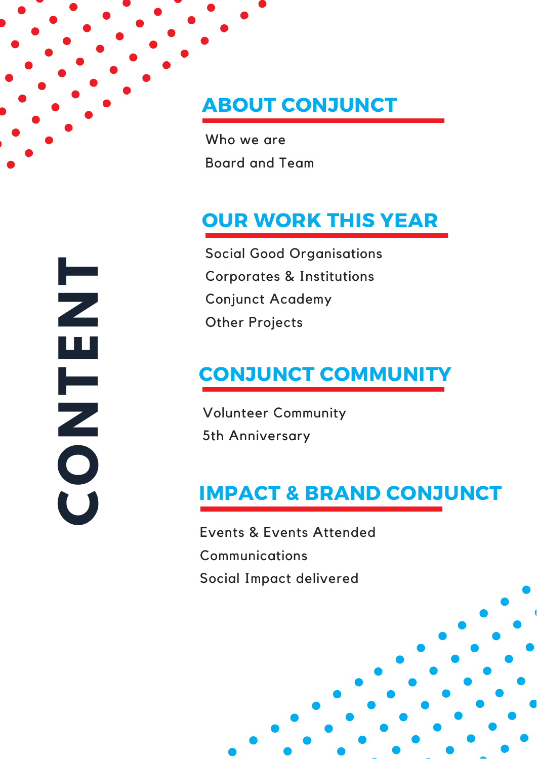# ABOUT CONJUNCT

Who we are Board and Team

# OUR WORK THIS YEAR

Social Good Organisations Corporates & Institutions Conjunct Academy Other Projects

# CONJUNCT COMMUNITY

Volunteer Community 5th Anniversary

# IMPACT & BRAND CONJUNCT

Events & Events Attended **Communications** Social Impact delivered

**CONTENT**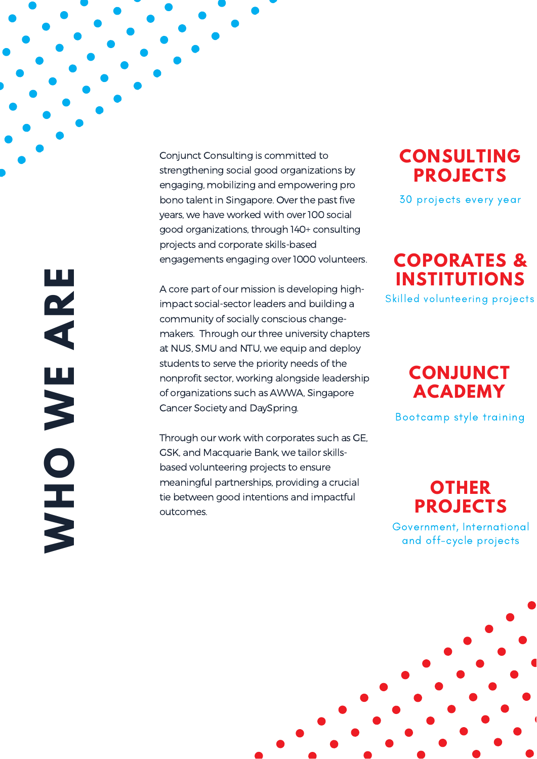Conjunct Consulting is committed to strengthening social good organizations by engaging, mobilizing and empowering pro bono talent in Singapore. Over the past five years, we have worked with over 100 social good organizations, through 140+ consultin g projects and corporate skills-based engagements engaging over 1000 volunteers.

A core part of our mission is developing high impact social-sector leaders and building a community of socially conscious change makers. Through our three university chapters at NUS, SMU and NTU, we equip and deploy students to serve the priority needs of the nonprofit sector, working alongside leadership of organizations such as AWWA, Singapore Cancer Society and DaySpring. Conjunct Consulting is committed to<br>
strengthening social good organizations by<br>
engaing, mobilizing and empowering pro<br>
bono talent in Singapore. Over the past five<br>
years, we have worked with over 100 social<br>
good organi

Through our work with corporates such as GE, GSK, and Macquarie Bank, we tailor skills based volunteering projects to ensure meaningful partnerships, providing a crucial tie between good intentions and impactful

**O N S U L T I N G P R O J E C T S**

30 projects every year

# **COPORATES & INSTITUTIONS**

Skilled volunteering projects

# **C O N J U N C T A C A D E M Y**

Bootcamp style training

**OTHER P R O J E C T S**

Government, International and off-cycle projects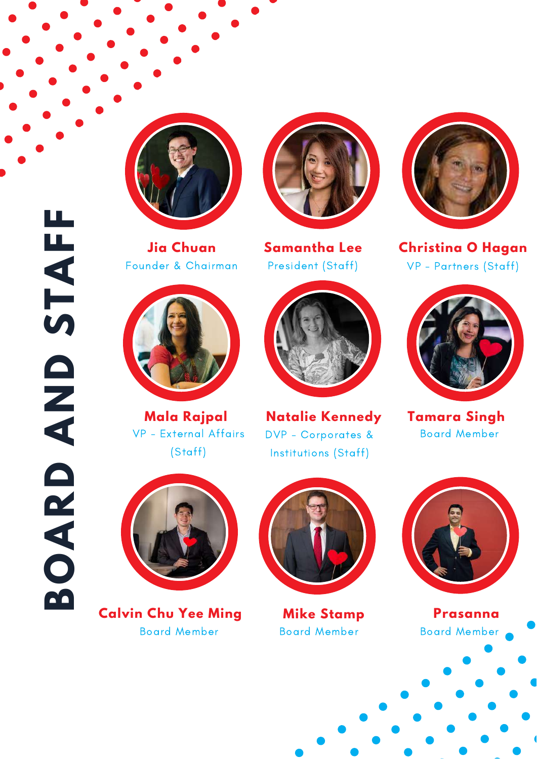

Founder & Chairman



VP - External Affairs (Staff)



**Jia Chuan Samantha Lee**



DVP - Corporates & Board Member Institutions (Staff) **Mala Rajpal Natalie Kennedy Tamara Singh**



President (Staff) VP - Partners (Staff) **Christina O Hagan**





 **Calvin Chu Yee Ming** Board Member Board Member



**Mike Stamp**



**Prasanna** Board Member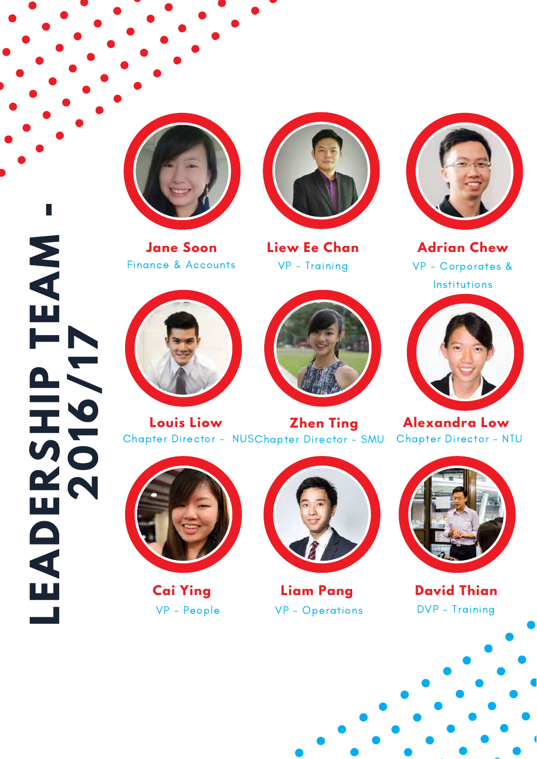

Finance & Accounts



VP - Training



VP - Corporates & Institutions **Liew Ee Chan Jane Soon Adrian Chew**





Chapter Director - NUSChapter Director - SMU Chapter Director - NTU **Louis Liow Zhen Ting Alexandra Low**





**Cai Ying**

**L**

**E**

**A**

**D**

**E**

**R**

**2**

**0**

**1**

**6**

**/**

**1**

**7**

 $\overline{\mathbf{S}}$ 

**H**

**P**<br>P

**A**

**I** 

**T**

**E**

**M**

**-**



VP - People VP - Operations DVP - Training





**Liam Pang David Thian**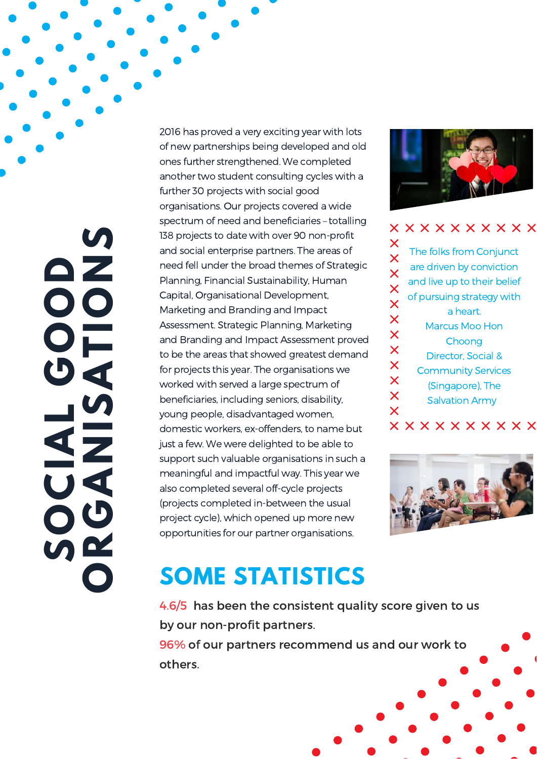$\mathbf{z}$ **OU I A LGA OTOOD NOGA NS S** 

2016 has proved a very exciting year with lots of new partnerships being developed and old ones further strengthened. We completed another two student consulting cycles with a further 30 projects with social good organisations. Our projects covered a wide spectrum of need and beneficiaries – totalling 138 projects to date with over 90 non-profit and social enterprise partners. The areas of need fell under the broad themes of Strategic Planning, Financial Sustainability, Human Capital, Organisational Development, Marketing and Branding and Impact Assessment. Strategic Planning, Marketing and Branding and Impact Assessment proved to be the areas that showed greatest demand for projects this year. The organisations we worked with served a large spectrum of beneficiaries, including seniors, disability, young people, disadvantaged women, domestic workers, ex-offenders, to name but just a few. We were delighted to be able to support such valuable organisations in such a meaningful and impactful way. This year we also completed several off-cycle projects (projects completed in-between the usual project cycle), which opened up more new opportunities for our partner organisations.



x x x x x x x x x x  $\bm{\times}$ The folks from Conjunct  $\overline{\mathsf{x}}$ are driven by conviction  $\overline{\mathsf{x}}$ and live up to their belief  $\overline{\mathsf{x}}$ of pursuing strategy with  $\overline{\mathsf{x}}$ a heart.  $\overline{\mathsf{x}}$ Marcus Moo Hon  $\overline{\mathsf{x}}$ Choong  $\overline{\mathsf{X}}$ Director, Social &  $\overline{\mathsf{X}}$ Community Services  $\overline{\mathsf{X}}$ (Singapore), The  $\overline{\mathsf{X}}$ Salvation Army  $\overline{\mathsf{x}}$ 

## **x x x x x x x x x x**



# **SOME STATISTICS**

4.6/5 has been the consistent quality score given to us by our non-profit partners. 96% of our partners recommend us and our work to

others.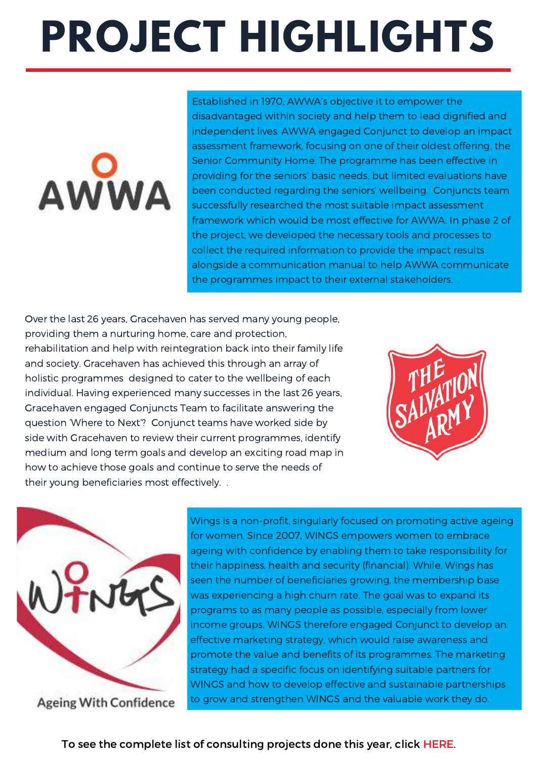# **PROJECT HIGHLIGHTS**



Established in 1970, AWWA's objective it to empower the disadvantaged within society and help them to lead dignified and independent lives. AWWA engaged Conjunct to develop an impact assessment framework, focusing on one of their oldest offering, the Senior Community Home. The programme has been effective in providing for the seniors' basic needs, but limited evaluations have been conducted regarding the seniors' wellbeing. Conjuncts team successfully researched the most suitable impact assessment framework which would be most effective for AWWA. In phase 2 of the project, we developed the necessary tools and processes to collect the required information to provide the impact results alongside a communication manual to help AWWA communicate the programmes impact to their external stakeholders. .

Over the last 26 years, Gracehaven has served many young people, providing them a nurturing home, care and protection, rehabilitation and help with reintegration back into their family life and society. Gracehaven has achieved this through an array of holistic programmes designed to cater to the wellbeing of each individual. Having experienced many successes in the last 26 years, Gracehaven engaged Conjuncts Team to facilitate answering the question 'Where to Next'? Conjunct teams have worked side by side with Gracehaven to review their current programmes, identify medium and long term goals and develop an exciting road map in how to achieve those goals and continue to serve the needs of their young beneficiaries most effectively. .





Wings is a non-profit, singularly focused on promoting active ageing for women. Since 2007, WINGS empowers women to embrace ageing with confidence by enabling them to take responsibility for their happiness, health and security (financial). While, Wings has seen the number of beneficiaries growing, the membership base was experiencing a high churn rate. The goal was to expand its programs to as many people as possible, especially from lower income groups. WINGS therefore engaged Conjunct to develop an effective marketing strategy, which would raise awareness and promote the value and benefits of its programmes. The marketing strategy had a specific focus on identifying suitable partners for WINGS and how to develop effective and sustainable partnerships to grow and strengthen WINGS and the valuable work they do.

To see the complete list of [consulting](https://drive.google.com/file/d/0B4B2rOezpKEKbDBoQlRPSm5oZ00/view?usp=sharing) projects done this year, click HERE.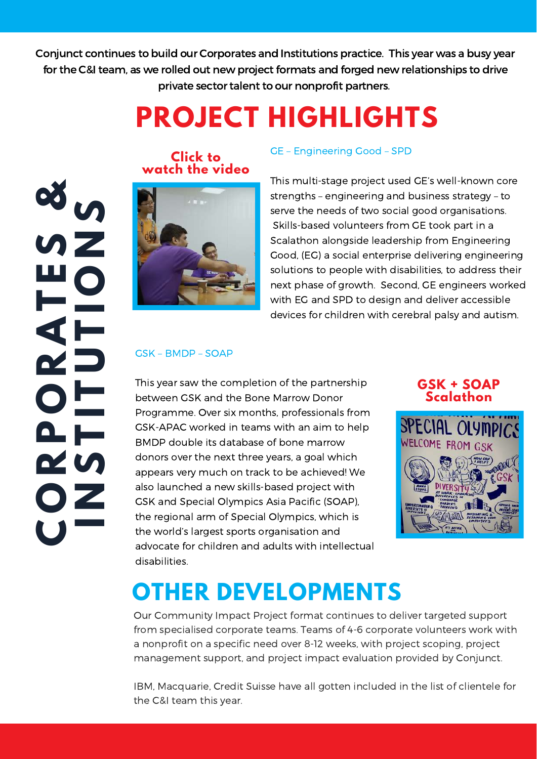Conjunct continues to build our Corporates and Institutions practice. This year was a busy year for the C&I team, as we rolled out new project formats and forged new relationships to drive private sector talent to our nonprofit partners.

# **PROJECT HIGHLIGHTS**

**CO** $\alpha$ **P**<br>**P ORA TES &NTUTONS** 





#### GE – Engineering Good – SPD

This multi-stage project used GE's well-known core strengths – engineering and business strategy – to serve the needs of two social good organisations. Skills-based volunteers from GE took part in a Scalathon alongside leadership from Engineering Good, (EG) a social enterprise delivering engineering solutions to people with disabilities, to address their next phase of growth. Second, GE engineers worked with EG and SPD to design and deliver accessible devices for children with cerebral palsy and autism.

#### GSK – BMDP – SOAP

 the regional arm of Special Olympics, which is appears very much on track to be achieved! We between GSK and the Bone Marrow Donor This year saw the completion of the partnership Programme. Over six months, professionals from GSK-APAC worked in teams with an aim to help BMDP double its database of bone marrow donors over the next three years, a goal which also launched a new skills-based project with GSK and Special Olympics Asia Pacific (SOAP), the world's largest sports organisation and advocate for children and adults with intellectual disabilities.

#### **GSK + SOAP [Scalathon](https://drive.google.com/file/d/0B6xJD2DiAuL3TTNEQzNudkdpRlE/view)**



# **OTHER DEVELOPMENTS**

Our Community Impact Project format continues to deliver targeted support from specialised corporate teams. Teams of 4-6 corporate volunteers work with a nonprofit on a specific need over 8-12 weeks, with project scoping, project management support, and project impact evaluation provided by Conjunct.

IBM, Macquarie, Credit Suisse have all gotten included in the list of clientele for the C&I team this year.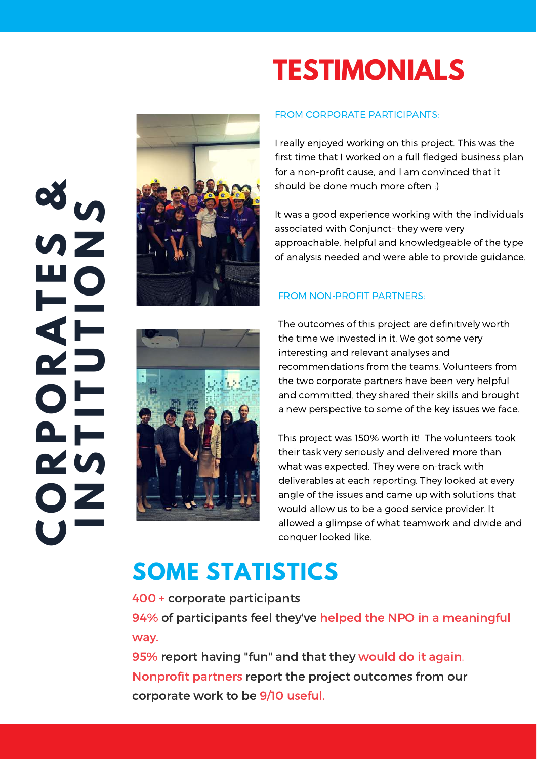# **CON** $\alpha$ **P**<br>**P ORA TESN&TUTOS**



# **TESTIMONIALS**

### FROM CORPORATE PARTICIPANTS:

I really enjoyed working on this project. This was the first time that I worked on a full fledged business plan for a non-profit cause, and I am convinced that it should be done much more often :)

It was a good experience working with the individuals associated with Conjunct- they were very approachable, helpful and knowledgeable of the type of analysis needed and were able to provide guidance.

### FROM NON-PROFIT PARTNERS:

The outcomes of this project are definitively worth the time we invested in it. We got some very interesting and relevant analyses and recommendations from the teams. Volunteers from the two corporate partners have been very helpful and committed, they shared their skills and brought a new perspective to some of the key issues we face.

This project was 150% worth it! The volunteers took their task very seriously and delivered more than what was expected. They were on-track with deliverables at each reporting. They looked at every angle of the issues and came up with solutions that would allow us to be a good service provider. It allowed a glimpse of what teamwork and divide and conquer looked like.

# **SOME STATISTICS**

400 + corporate participants

94% of participants feel they've helped the NPO in a meaningful way.

95% report having "fun" and that they would do it again. Nonprofit partners report the project outcomes from our corporate work to be 9/10 useful.

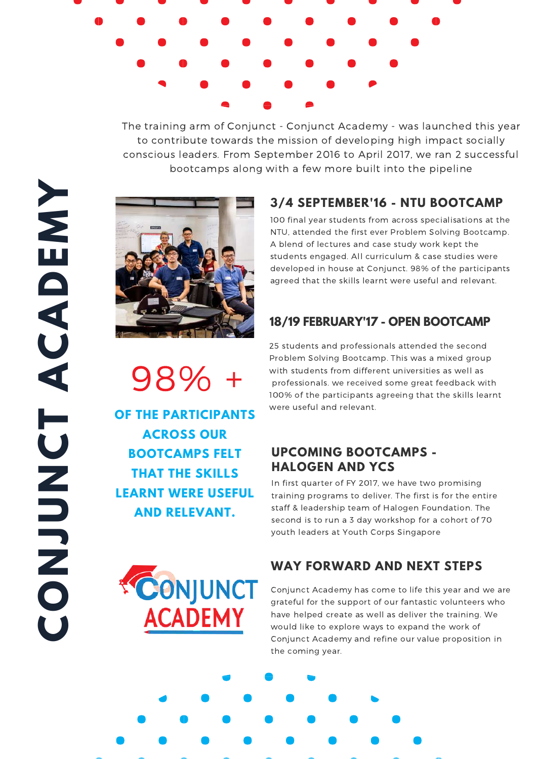

The training arm of Conjunct - Conjunct Academy - was launched this year to contribute towards the mission of developing high impact socially conscious leaders. From September 2016 to April 2017, we ran 2 successful bootcamps along with a few more built into the pipeline

# **3/4 SEPTEMBER'16 - NTU BOOTCAMP**

100 final year students from across specialisations at the NTU, attended the first ever Problem Solving Bootcamp. A blend of lectures and case study work kept the students engaged. All curriculum & case studies were developed in house at Conjunct. 98% of the participants agreed that the skills learnt were useful and relevant.

## **18/19 FEBRUARY'17 - OPEN BOOTCAMP**

25 students and professionals attended the second Problem Solving Bootcamp. This was a mixed group with students from different universities as well as professionals. we received some great feedback with 100% of the participants agreeing that the skills learnt were useful and relevant.

## **UPCOMING BOOTCAMPS - HALOGEN AND YCS**

In first quarter of FY 2017, we have two promising training programs to deliver. The first is for the entire staff & leadership team of Halogen Foundation. The second is to run a 3 day workshop for a cohort of 70 youth leaders at Youth Corps Singapore

## **WAY FORWARD AND NEXT STEPS**

Conjunct Academy has come to life this year and we are grateful for the support of our fantastic volunteers who have helped create as well as deliver the training. We would like to explore ways to expand the work of Conjunct Academy and refine our value proposition in the coming year.



98% +

**OF THE PARTICIPANTS ACROSS OUR BOOTCAMPS FELT THAT THE SKILLS LEARNT WERE USEFUL AND RELEVANT.**

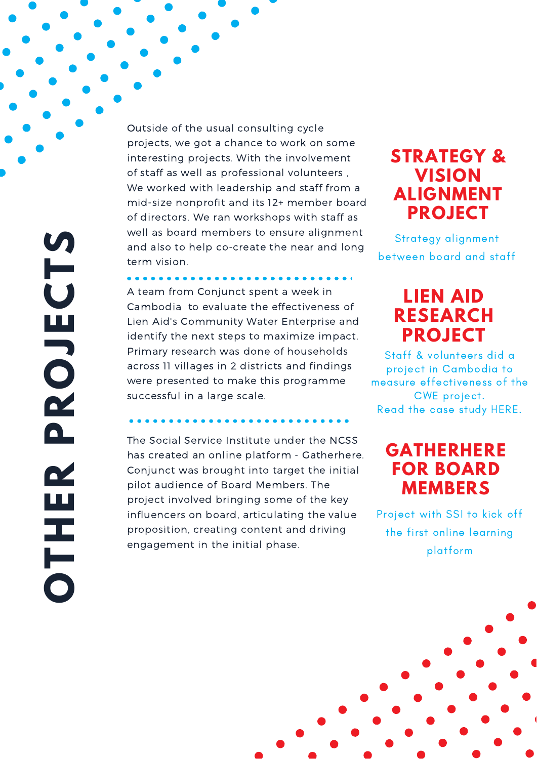**OTHERPROJ ECTS** 

Outside of the usual consulting cycle projects, we got a chance to work on some interesting projects. With the involvement of staff as well as professional volunteers , We worked with leadership and staff from a mid-size nonprofit and its 12+ member board of directors. We ran workshops with staff as well as board members to ensure alignment and also to help co-create the near and long term vision.

A team from Conjunct spent a week in Cambodia to evaluate the effectiveness of Lien Aid's Community Water Enterprise and identify the next steps to maximize impact. Primary research was done of households across 11 villages in 2 districts and findings were presented to make this programme successful in a large scale.

. . . . . . . . .

The Social Service Institute under the NCSS has created an online platform - Gatherhere. Conjunct was brought into target the initial pilot audience of Board Members. The project involved bringing some of the key influencers on board, articulating the value proposition, creating content and driving engagement in the initial phase.

# **STRATEGY & VISION ALIGNMENT PROJECT**

Strategy alignment between board and staff

# **LIEN AID [RESEARCH](https://drive.google.com/file/d/0B4B2rOezpKEKdTBSaHNQSnpkUE0/view?usp=sharing) PROJECT**

Staff & volunteers did a project in Cambodia to measure effectiveness of the CWE project. Read the case study HERE.

# **GATHERHERE FOR BOARD MEMBERS**

Project with SSI to kick off the first online learning platform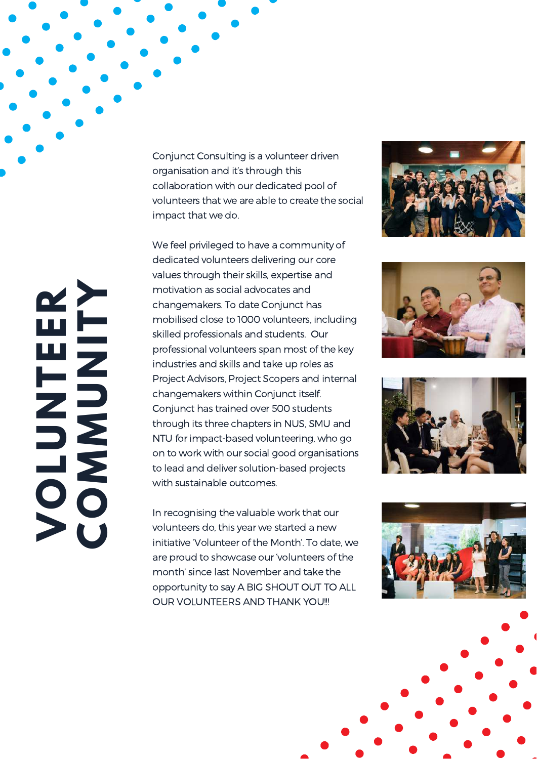Conjunct Consulting is a volunteer driven organisation and it's through this collaboration with our dedicated pool of volunteers that we are able to create the social impact that we do.

 with sustainable outcomes. We feel privileged to have a community of dedicated volunteers delivering our core values through their skills, expertise and motivation as social advocates and changemakers. To date Conjunct has mobilised close to 1000 volunteers, including skilled professionals and students. Our professional volunteers span most of the key industries and skills and take up roles as Project Advisors, Project Scopers and internal changemakers within Conjunct itself. Conjunct has trained over 500 students through its three chapters in NUS, SMU and NTU for impact-based volunteering, who go on to work with our social good organisations to lead and deliver solution-based projects

In recognising the valuable work that our volunteers do, this year we started a new initiative 'Volunteer of the Month'. To date, we are proud to showcase our 'volunteers of the month' since last November and take the opportunity to say A BIG SHOUT OUT TO ALL OUR VOLUNTEERS AND THANK YOU!!!











 $>$   $\check{\text{U}}$ **O L U N T E E R COMΣ UNITY**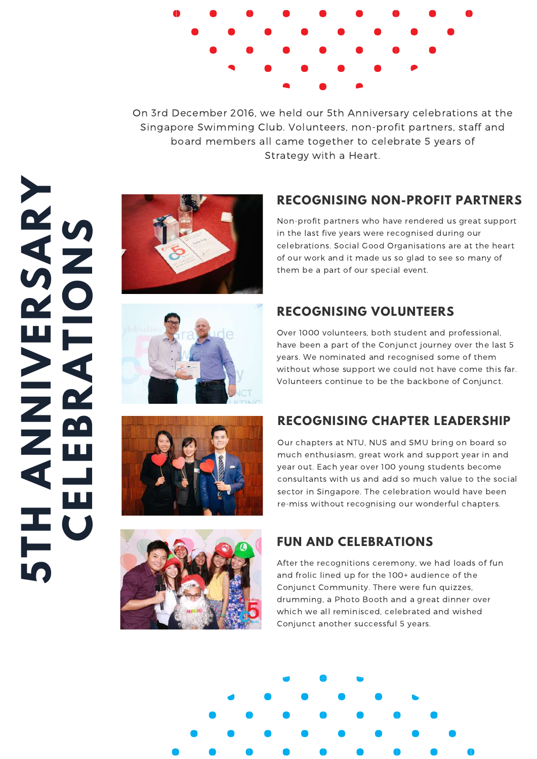

On 3rd December 2016, we held our 5th Anniversary celebrations at the Singapore Swimming Club. Volunteers, non-profit partners, staff and board members all came together to celebrate 5 years of Strategy with a Heart.

# **5THA NNI> ERS A RY CELEBRA TIONS**



# **RECOGNISING NON-PROFIT PARTNERS**

Non-profit partners who have rendered us great support in the last five years were recognised during our celebrations. Social Good Organisations are at the heart of our work and it made us so glad to see so many of them be a part of our special event.

# **RECOGNISING VOLUNTEERS**

Over 1000 volunteers, both student and professional, have been a part of the Conjunct journey over the last 5 years. We nominated and recognised some of them without whose support we could not have come this far. Volunteers continue to be the backbone of Conjunct.





# **RECOGNISING CHAPTER LEADERSHIP**

Our chapters at NTU, NUS and SMU bring on board so much enthusiasm, great work and support year in and year out. Each year over 100 young students become consultants with us and add so much value to the social sector in Singapore. The celebration would have been re-miss without recognising our wonderful chapters.

# **FUN AND CELEBRATIONS**

After the recognitions ceremony, we had loads of fun and frolic lined up for the 100+ audience of the Conjunct Community. There were fun quizzes, drumming, a Photo Booth and a great dinner over which we all reminisced, celebrated and wished Conjunct another successful 5 years.

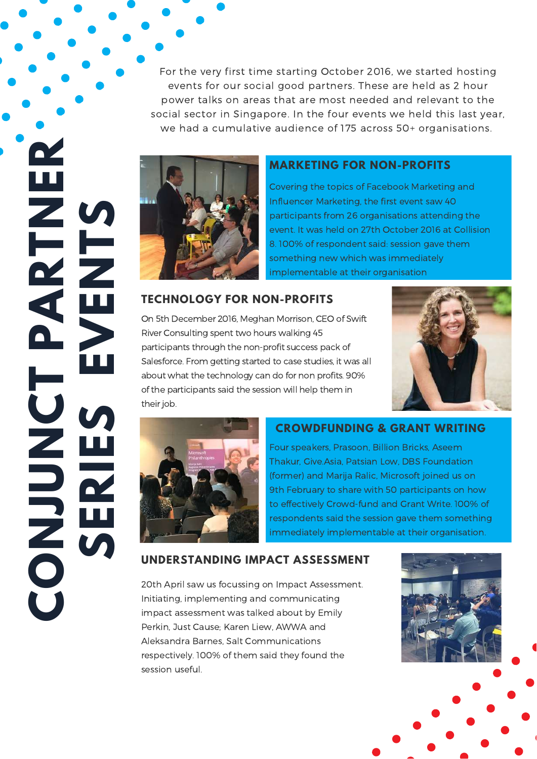For the very first time starting October 2016, we started hosting events for our social good partners. These are held as 2 hour power talks on areas that are most needed and relevant to the social sector in Singapore. In the four events we held this last year, we had a cumulative audience of 175 across 50+ organisations.



#### **MARKETING FOR NON-PROFITS**

Covering the topics of Facebook Marketing and Influencer Marketing, the first event saw 40 participants from 26 organisations attending the event. It was held on 27th October 2016 at Collision 8. 100% of respondent said: session gave them something new which was immediately implementable at their organisation

#### **TECHNOLOGY FOR NON-PROFITS**

 about what the technology can do for non profits. 90% Due<br>Rive<br>part On 5th December 2016, Meghan Morrison, CEO of Swift River Consulting spent two hours walking 45 participants through the non-profit success pack of Salesforce. From getting started to case studies, it was all of the participants said the session will help them in their job.





**C**

**O**

**N**

**U**

**N**

**C**

**T**

**P**

**R**

**N**

**E**

**R**

**A**

**T**

**J**

**S** 

**E**

**R**

**I** 

**E**

**S** 

**E**

**E**

**N**

**T**

**S** 

#### **CROWDFUNDING & GRANT WRITING**

Four speakers, Prasoon, Billion Bricks, Aseem Thakur, Give.Asia, Patsian Low, DBS Foundation (former) and Marija Ralic, Microsoft joined us on 9th February to share with 50 participants on how to effectively Crowd-fund and Grant Write. 100% of respondents said the session gave them something immediately implementable at their organisation.

#### **UNDERSTANDING IMPACT ASSESSMENT**

20th April saw us focussing on Impact Assessment. Initiating, implementing and communicating impact assessment was talked about by Emily Perkin, Just Cause; Karen Liew, AWWA and Aleksandra Barnes, Salt Communications respectively. 100% of them said they found the session useful.

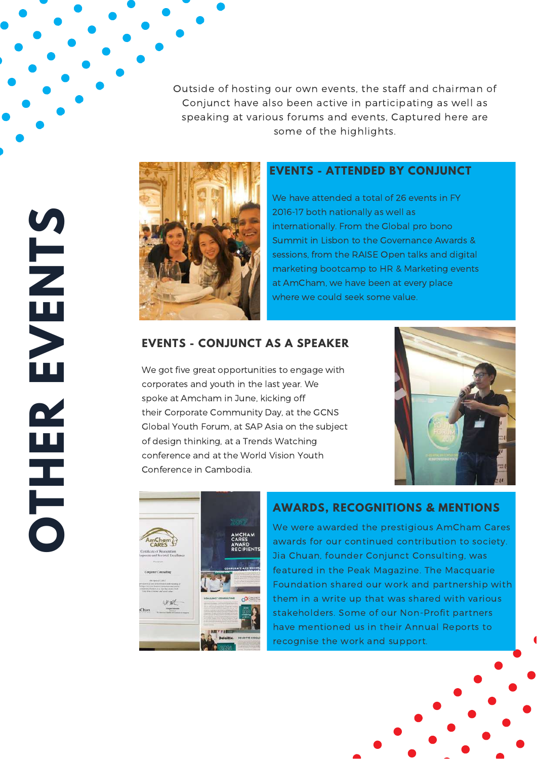Outside of hosting our own events, the staff and chairman of Conjunct have also been active in participating as well as speaking at various forums and events, Captured here are some of the highlights.



#### **EVENTS - ATTENDED BY CONJUNCT**

We have attended a total of 26 events in FY 2016-17 both nationally as well as internationally. From the Global pro bono Summit in Lisbon to the Governance Awards & sessions, from the RAISE Open talks and digital marketing bootcamp to HR & Marketing events at AmCham, we have been at every place where we could seek some value.

#### **EVENTS - CONJUNCT AS A SPEAKER**

We got five great opportunities to engage with corporates and youth in the last year. We spoke at Amcham in June, kicking off their Corporate Community Day, at the GCNS Global Youth Forum, at SAP Asia on the subject of design thinking, at a Trends Watching conference and at the World Vision Youth Conference in Cambodia.





#### **AWARDS, RECOGNITIONS & MENTIONS**

We were awarded the prestigious AmCham Cares awards for our continued contribution to society. Jia Chuan, founder Conjunct Consulting, was featured in the Peak Magazine. The Macquarie Foundation shared our work and partnership with them in a write up that was shared with various stakeholders. Some of our Non-Profit partners have mentioned us in their Annual Reports to recognise the work and support.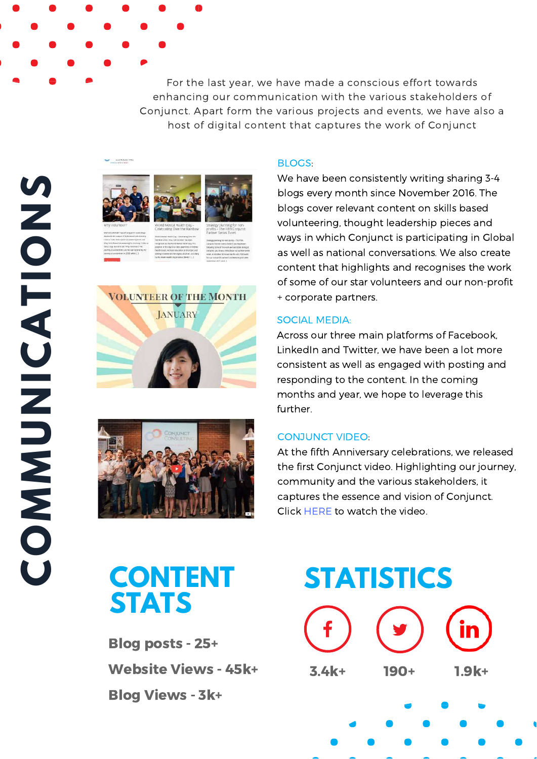For the last year, we have made a conscious effort towards enhancing our communication with the various stakeholders of Conjunct. Apart form the various projects and events, we have also a host of digital content that captures the work of Conjunct









#### BLOGS:

We have been consistently writing sharing 3-4 blogs every month since November 2016. The blogs cover relevant content on skills based volunteering, thought leadership pieces and ways in which Conjunct is participating in Global as well as national conversations. We also create content that highlights and recognises the work of some of our star volunteers and our non-profit + corporate partners.

#### SOCIAL MEDIA:

Across our three main platforms of Facebook, LinkedIn and Twitter, we have been a lot more consistent as well as engaged with posting and responding to the content. In the coming months and year, we hope to leverage this further.

#### CONJUNCT VIDEO:

At the fifth Anniversary celebrations, we released the first Conjunct video. Highlighting our journey, community and the various [stakeholders,](https://www.youtube.com/watch?time_continue=1&v=ZCxBs3yTs1A) it captures the essence and vision of Conjunct. Click HERE to watch the video.

# **CONTENT STATS**

Blog posts - 25+ Website Views - 45k+ Blog Views - 3k+